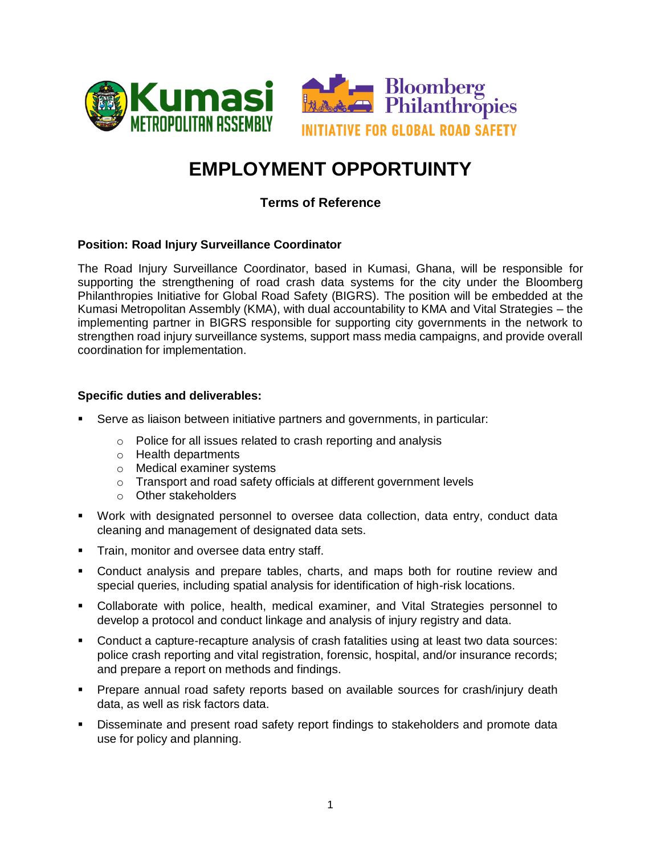

# **EMPLOYMENT OPPORTUINTY**

## **Terms of Reference**

#### **Position: Road Injury Surveillance Coordinator**

The Road Injury Surveillance Coordinator, based in Kumasi, Ghana, will be responsible for supporting the strengthening of road crash data systems for the city under the Bloomberg Philanthropies Initiative for Global Road Safety (BIGRS). The position will be embedded at the Kumasi Metropolitan Assembly (KMA), with dual accountability to KMA and Vital Strategies – the implementing partner in BIGRS responsible for supporting city governments in the network to strengthen road injury surveillance systems, support mass media campaigns, and provide overall coordination for implementation.

#### **Specific duties and deliverables:**

- Serve as liaison between initiative partners and governments, in particular:
	- o Police for all issues related to crash reporting and analysis
	- o Health departments
	- o Medical examiner systems
	- o Transport and road safety officials at different government levels
	- o Other stakeholders
- Work with designated personnel to oversee data collection, data entry, conduct data cleaning and management of designated data sets.
- **Train, monitor and oversee data entry staff.**
- Conduct analysis and prepare tables, charts, and maps both for routine review and special queries, including spatial analysis for identification of high-risk locations.
- Collaborate with police, health, medical examiner, and Vital Strategies personnel to develop a protocol and conduct linkage and analysis of injury registry and data.
- Conduct a capture-recapture analysis of crash fatalities using at least two data sources: police crash reporting and vital registration, forensic, hospital, and/or insurance records; and prepare a report on methods and findings.
- Prepare annual road safety reports based on available sources for crash/injury death data, as well as risk factors data.
- **Disseminate and present road safety report findings to stakeholders and promote data** use for policy and planning.